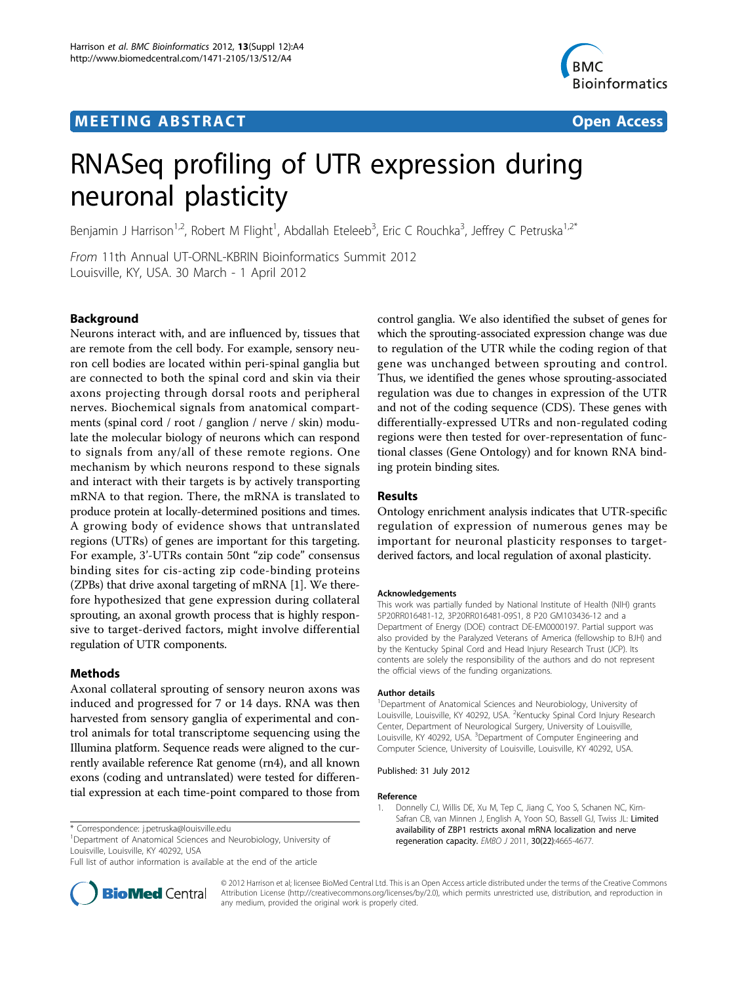# **MEETING ABSTRACT And CONSTRACT CONSTRACT** And CONSTRACT CONSTRACT CONSTRACT CONSTRACT CONSTRACT CONSTRACT CONSTR



# RNASeq profiling of UTR expression during neuronal plasticity

Benjamin J Harrison<sup>1,2</sup>, Robert M Flight<sup>1</sup>, Abdallah Eteleeb<sup>3</sup>, Eric C Rouchka<sup>3</sup>, Jeffrey C Petruska<sup>1,2\*</sup>

From 11th Annual UT-ORNL-KBRIN Bioinformatics Summit 2012 Louisville, KY, USA. 30 March - 1 April 2012

# Background

Neurons interact with, and are influenced by, tissues that are remote from the cell body. For example, sensory neuron cell bodies are located within peri-spinal ganglia but are connected to both the spinal cord and skin via their axons projecting through dorsal roots and peripheral nerves. Biochemical signals from anatomical compartments (spinal cord / root / ganglion / nerve / skin) modulate the molecular biology of neurons which can respond to signals from any/all of these remote regions. One mechanism by which neurons respond to these signals and interact with their targets is by actively transporting mRNA to that region. There, the mRNA is translated to produce protein at locally-determined positions and times. A growing body of evidence shows that untranslated regions (UTRs) of genes are important for this targeting. For example, 3'-UTRs contain 50nt "zip code" consensus binding sites for cis-acting zip code-binding proteins (ZPBs) that drive axonal targeting of mRNA [1]. We therefore hypothesized that gene expression during collateral sprouting, an axonal growth process that is highly responsive to target-derived factors, might involve differential regulation of UTR components.

## Methods

Axonal collateral sprouting of sensory neuron axons was induced and progressed for 7 or 14 days. RNA was then harvested from sensory ganglia of experimental and control animals for total transcriptome sequencing using the Illumina platform. Sequence reads were aligned to the currently available reference Rat genome (rn4), and all known exons (coding and untranslated) were tested for differential expression at each time-point compared to those from

<sup>1</sup>Department of Anatomical Sciences and Neurobiology, University of Louisville, Louisville, KY 40292, USA

Full list of author information is available at the end of the article



control ganglia. We also identified the subset of genes for which the sprouting-associated expression change was due to regulation of the UTR while the coding region of that gene was unchanged between sprouting and control. Thus, we identified the genes whose sprouting-associated regulation was due to changes in expression of the UTR and not of the coding sequence (CDS). These genes with differentially-expressed UTRs and non-regulated coding regions were then tested for over-representation of functional classes (Gene Ontology) and for known RNA binding protein binding sites.

### Results

Ontology enrichment analysis indicates that UTR-specific regulation of expression of numerous genes may be important for neuronal plasticity responses to targetderived factors, and local regulation of axonal plasticity.

#### Acknowledgements

This work was partially funded by National Institute of Health (NIH) grants 5P20RR016481-12, 3P20RR016481-09S1, 8 P20 GM103436-12 and a Department of Energy (DOE) contract DE-EM0000197. Partial support was also provided by the Paralyzed Veterans of America (fellowship to BJH) and by the Kentucky Spinal Cord and Head Injury Research Trust (JCP). Its contents are solely the responsibility of the authors and do not represent the official views of the funding organizations.

#### Author details

<sup>1</sup>Department of Anatomical Sciences and Neurobiology, University of Louisville, Louisville, KY 40292, USA. <sup>2</sup>Kentucky Spinal Cord Injury Research Center, Department of Neurological Surgery, University of Louisville, Louisville, KY 40292, USA. <sup>3</sup>Department of Computer Engineering and Computer Science, University of Louisville, Louisville, KY 40292, USA.

#### Published: 31 July 2012

#### Reference

1. Donnelly CJ, Willis DE, Xu M, Tep C, Jiang C, Yoo S, Schanen NC, Kirn-Safran CB, van Minnen J, English A, Yoon SO, Bassell GJ, Twiss JL: [Limited](http://www.ncbi.nlm.nih.gov/pubmed/21964071?dopt=Abstract) [availability of ZBP1 restricts axonal mRNA localization and nerve](http://www.ncbi.nlm.nih.gov/pubmed/21964071?dopt=Abstract) [regeneration capacity.](http://www.ncbi.nlm.nih.gov/pubmed/21964071?dopt=Abstract) EMBO J 2011, 30(22):4665-4677.

© 2012 Harrison et al; licensee BioMed Central Ltd. This is an Open Access article distributed under the terms of the Creative Commons Attribution License [\(http://creativecommons.org/licenses/by/2.0](http://creativecommons.org/licenses/by/2.0)), which permits unrestricted use, distribution, and reproduction in any medium, provided the original work is properly cited.

<sup>\*</sup> Correspondence: [j.petruska@louisville.edu](mailto:j.petruska@louisville.edu)